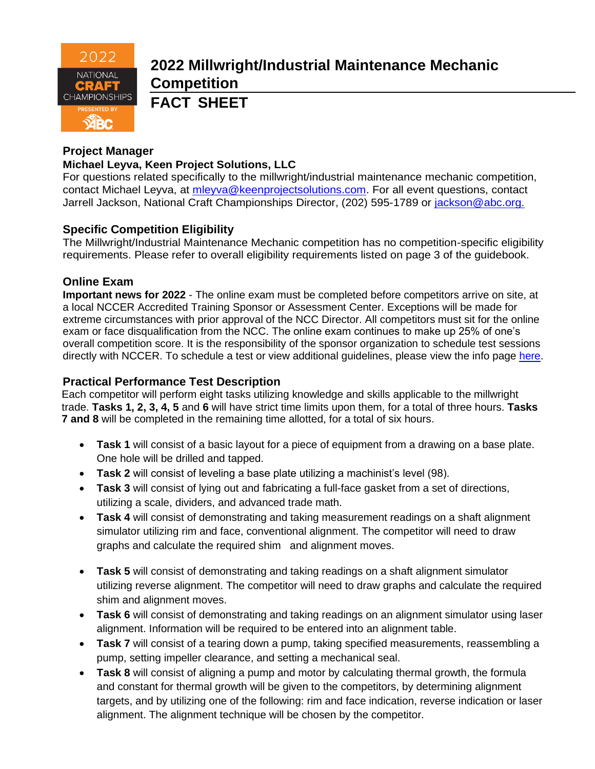

# **2022 Millwright/Industrial Maintenance Mechanic Competition**

**FACT SHEET**

# **Project Manager**

# **Michael Leyva, Keen Project Solutions, LLC**

For questions related specifically to the millwright/industrial maintenance mechanic competition, contact Michael Leyva, at [mleyva@keenprojectsolutions.com.](mailto:mleyva@keenprojectsolutions.com) For all event questions, contact Jarrell Jackson, National Craft Championships Director, (202) 595-1789 or [jackson@abc.org.](mailto:jackson@abc.org.)

# **Specific Competition Eligibility**

The Millwright/Industrial Maintenance Mechanic competition has no competition-specific eligibility requirements. Please refer to overall eligibility requirements listed on page 3 of the guidebook.

#### **Online Exam**

**Important news for 2022** - The online exam must be completed before competitors arrive on site, at a local NCCER Accredited Training Sponsor or Assessment Center. Exceptions will be made for extreme circumstances with prior approval of the NCC Director. All competitors must sit for the online exam or face disqualification from the NCC. The online exam continues to make up 25% of one's overall competition score. It is the responsibility of the sponsor organization to schedule test sessions directly with NCCER. To schedule a test or view additional guidelines, please view the info page [here.](https://abc.org/Portals/1/NCC/National%20Craft%20Championship%20Testing%20Overview%20and%20Registration.pdf?ver=2022-01-31-154655-600)

#### **Practical Performance Test Description**

Each competitor will perform eight tasks utilizing knowledge and skills applicable to the millwright trade. **Tasks 1, 2, 3, 4, 5** and **6** will have strict time limits upon them, for a total of three hours. **Tasks 7 and 8** will be completed in the remaining time allotted, for a total of six hours.

- **Task 1** will consist of a basic layout for a piece of equipment from a drawing on a base plate. One hole will be drilled and tapped.
- **Task 2** will consist of leveling a base plate utilizing a machinist's level (98).
- **Task 3** will consist of lying out and fabricating a full-face gasket from a set of directions, utilizing a scale, dividers, and advanced trade math.
- **Task 4** will consist of demonstrating and taking measurement readings on a shaft alignment simulator utilizing rim and face, conventional alignment. The competitor will need to draw graphs and calculate the required shim and alignment moves.
- **Task 5** will consist of demonstrating and taking readings on a shaft alignment simulator utilizing reverse alignment. The competitor will need to draw graphs and calculate the required shim and alignment moves.
- **Task 6** will consist of demonstrating and taking readings on an alignment simulator using laser alignment. Information will be required to be entered into an alignment table.
- **Task 7** will consist of a tearing down a pump, taking specified measurements, reassembling a pump, setting impeller clearance, and setting a mechanical seal.
- **Task 8** will consist of aligning a pump and motor by calculating thermal growth, the formula and constant for thermal growth will be given to the competitors, by determining alignment targets, and by utilizing one of the following: rim and face indication, reverse indication or laser alignment. The alignment technique will be chosen by the competitor.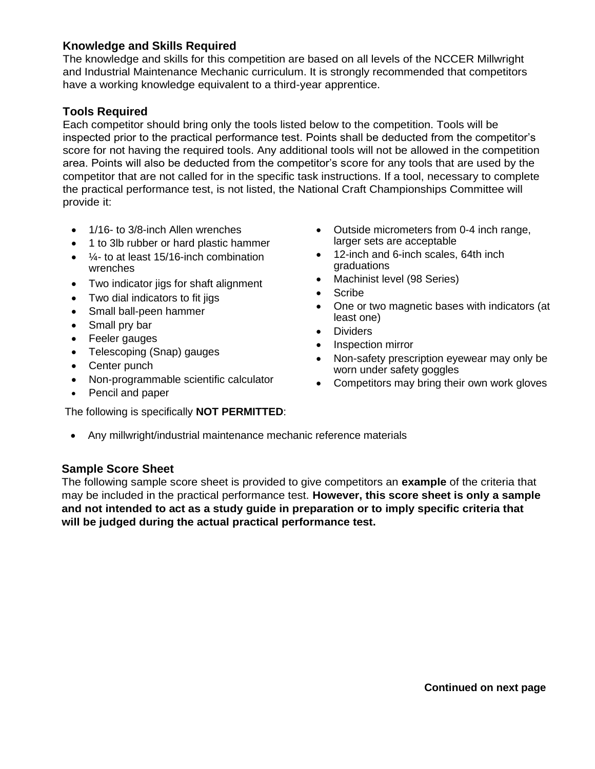#### **Knowledge and Skills Required**

The knowledge and skills for this competition are based on all levels of the NCCER Millwright and Industrial Maintenance Mechanic curriculum. It is strongly recommended that competitors have a working knowledge equivalent to a third-year apprentice.

#### **Tools Required**

Each competitor should bring only the tools listed below to the competition. Tools will be inspected prior to the practical performance test. Points shall be deducted from the competitor's score for not having the required tools. Any additional tools will not be allowed in the competition area. Points will also be deducted from the competitor's score for any tools that are used by the competitor that are not called for in the specific task instructions. If a tool, necessary to complete the practical performance test, is not listed, the National Craft Championships Committee will provide it:

- 1/16- to 3/8-inch Allen wrenches
- 1 to 3lb rubber or hard plastic hammer
- ¼- to at least 15/16-inch combination wrenches
- Two indicator jigs for shaft alignment
- Two dial indicators to fit jigs
- Small ball-peen hammer
- Small pry bar
- Feeler gauges
- Telescoping (Snap) gauges
- Center punch
- Non-programmable scientific calculator
- Pencil and paper

The following is specifically **NOT PERMITTED**:

- Outside micrometers from 0-4 inch range, larger sets are acceptable
- 12-inch and 6-inch scales, 64th inch graduations
- Machinist level (98 Series)
- Scribe
- One or two magnetic bases with indicators (at least one)
- Dividers
- Inspection mirror
- Non-safety prescription eyewear may only be worn under safety goggles
- Competitors may bring their own work gloves
- Any millwright/industrial maintenance mechanic reference materials

#### **Sample Score Sheet**

The following sample score sheet is provided to give competitors an **example** of the criteria that may be included in the practical performance test. **However, this score sheet is only a sample and not intended to act as a study guide in preparation or to imply specific criteria that will be judged during the actual practical performance test.**